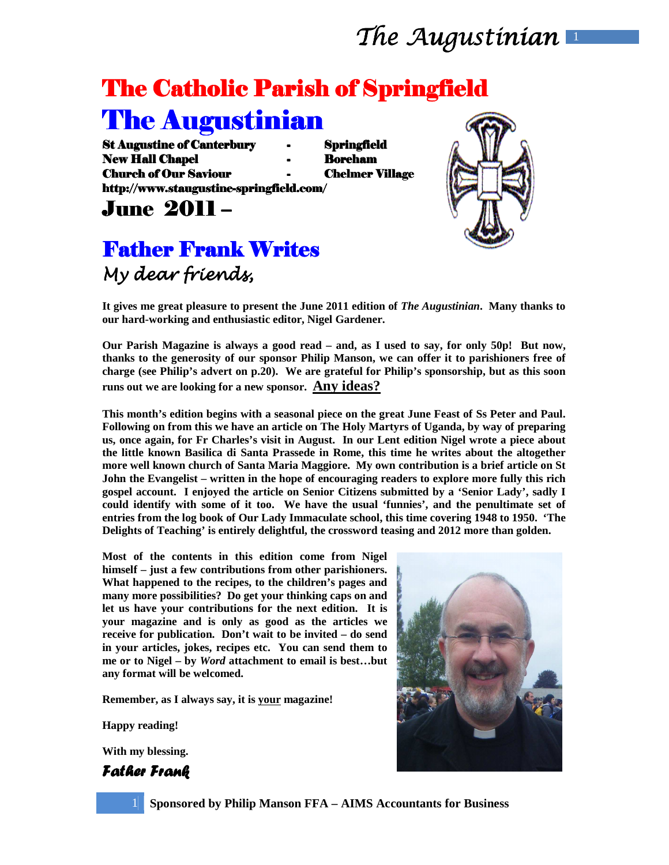# The Catholic Parish of Springfield

## The Augustinian

St Augustine of Canterbury - Springfield New Hall Chapel **Hall Chapel Accord - Boreham** Church of Our Saviour Saviour - Chelmer Village Village http://www.staugustine-springfield.com/

June 2011 – –

### Father Frank Writes My dear friends,

**It gives me great pleasure to present the June 2011 edition of** *The Augustinian***. Many thanks to our hard-working and enthusiastic editor, Nigel Gardener.** 

**Our Parish Magazine is always a good read – and, as I used to say, for only 50p! But now, thanks to the generosity of our sponsor Philip Manson, we can offer it to parishioners free of charge (see Philip's advert on p.20). We are grateful for Philip's sponsorship, but as this soon runs out we are looking for a new sponsor. Any ideas?**

**This month's edition begins with a seasonal piece on the great June Feast of Ss Peter and Paul. Following on from this we have an article on The Holy Martyrs of Uganda, by way of preparing us, once again, for Fr Charles's visit in August. In our Lent edition Nigel wrote a piece about the little known Basilica di Santa Prassede in Rome, this time he writes about the altogether more well known church of Santa Maria Maggiore. My own contribution is a brief article on St John the Evangelist – written in the hope of encouraging readers to explore more fully this rich gospel account. I enjoyed the article on Senior Citizens submitted by a 'Senior Lady', sadly I could identify with some of it too. We have the usual 'funnies', and the penultimate set of entries from the log book of Our Lady Immaculate school, this time covering 1948 to 1950. 'The Delights of Teaching' is entirely delightful, the crossword teasing and 2012 more than golden.** 

**Most of the contents in this edition come from Nigel himself – just a few contributions from other parishioners. What happened to the recipes, to the children's pages and many more possibilities? Do get your thinking caps on and let us have your contributions for the next edition. It is your magazine and is only as good as the articles we receive for publication. Don't wait to be invited – do send in your articles, jokes, recipes etc. You can send them to me or to Nigel – by** *Word* **attachment to email is best…but any format will be welcomed.** 

**Remember, as I always say, it is your magazine!** 

**Happy reading!** 

**With my blessing.** 

Father Frank





1 **Sponsored by Philip Manson FFA – AIMS Accountants for Business**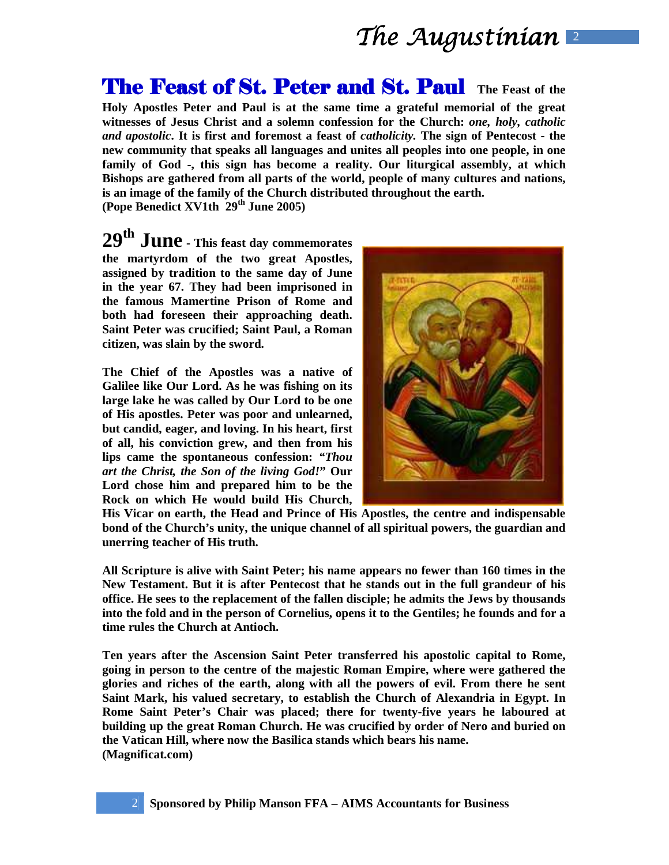**The Feast of St. Peter and St. Paul The Feast of the Holy Apostles Peter and Paul is at the same time a grateful memorial of the great witnesses of Jesus Christ and a solemn confession for the Church:** *one, holy, catholic and apostolic***. It is first and foremost a feast of** *catholicity.* **The sign of Pentecost - the new community that speaks all languages and unites all peoples into one people, in one family of God -, this sign has become a reality. Our liturgical assembly, at which Bishops are gathered from all parts of the world, people of many cultures and nations, is an image of the family of the Church distributed throughout the earth. (Pope Benedict XV1th 29th June 2005)** 

**29th June - This feast day commemorates the martyrdom of the two great Apostles, assigned by tradition to the same day of June in the year 67. They had been imprisoned in the famous Mamertine Prison of Rome and both had foreseen their approaching death. Saint Peter was crucified; Saint Paul, a Roman citizen, was slain by the sword.** 

**The Chief of the Apostles was a native of Galilee like Our Lord. As he was fishing on its large lake he was called by Our Lord to be one of His apostles. Peter was poor and unlearned, but candid, eager, and loving. In his heart, first of all, his conviction grew, and then from his lips came the spontaneous confession:** *"Thou art the Christ, the Son of the living God!***" Our Lord chose him and prepared him to be the Rock on which He would build His Church,** 



**His Vicar on earth, the Head and Prince of His Apostles, the centre and indispensable bond of the Church's unity, the unique channel of all spiritual powers, the guardian and unerring teacher of His truth.** 

**All Scripture is alive with Saint Peter; his name appears no fewer than 160 times in the New Testament. But it is after Pentecost that he stands out in the full grandeur of his office. He sees to the replacement of the fallen disciple; he admits the Jews by thousands into the fold and in the person of Cornelius, opens it to the Gentiles; he founds and for a time rules the Church at Antioch.** 

**Ten years after the Ascension Saint Peter transferred his apostolic capital to Rome, going in person to the centre of the majestic Roman Empire, where were gathered the glories and riches of the earth, along with all the powers of evil. From there he sent Saint Mark, his valued secretary, to establish the Church of Alexandria in Egypt. In Rome Saint Peter's Chair was placed; there for twenty-five years he laboured at building up the great Roman Church. He was crucified by order of Nero and buried on the Vatican Hill, where now the Basilica stands which bears his name. (Magnificat.com)**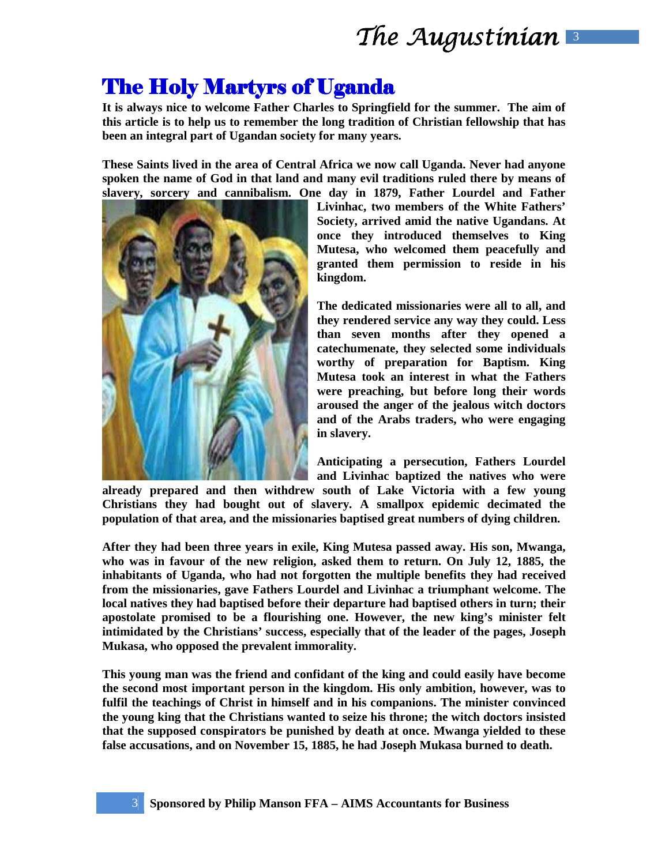### **The Holy Martyrs of Uganda**

**It is always nice to welcome Father Charles to Springfield for the summer. The aim of this article is to help us to remember the long tradition of Christian fellowship that has been an integral part of Ugandan society for many years.** 

**These Saints lived in the area of Central Africa we now call Uganda. Never had anyone spoken the name of God in that land and many evil traditions ruled there by means of slavery, sorcery and cannibalism. One day in 1879, Father Lourdel and Father** 



**Livinhac, two members of the White Fathers' Society, arrived amid the native Ugandans. At once they introduced themselves to King Mutesa, who welcomed them peacefully and granted them permission to reside in his kingdom.** 

**The dedicated missionaries were all to all, and they rendered service any way they could. Less than seven months after they opened a catechumenate, they selected some individuals worthy of preparation for Baptism. King Mutesa took an interest in what the Fathers were preaching, but before long their words aroused the anger of the jealous witch doctors and of the Arabs traders, who were engaging in slavery.** 

**Anticipating a persecution, Fathers Lourdel and Livinhac baptized the natives who were** 

**already prepared and then withdrew south of Lake Victoria with a few young Christians they had bought out of slavery. A smallpox epidemic decimated the population of that area, and the missionaries baptised great numbers of dying children.** 

**After they had been three years in exile, King Mutesa passed away. His son, Mwanga, who was in favour of the new religion, asked them to return. On July 12, 1885, the inhabitants of Uganda, who had not forgotten the multiple benefits they had received from the missionaries, gave Fathers Lourdel and Livinhac a triumphant welcome. The local natives they had baptised before their departure had baptised others in turn; their apostolate promised to be a flourishing one. However, the new king's minister felt intimidated by the Christians' success, especially that of the leader of the pages, Joseph Mukasa, who opposed the prevalent immorality.** 

**This young man was the friend and confidant of the king and could easily have become the second most important person in the kingdom. His only ambition, however, was to fulfil the teachings of Christ in himself and in his companions. The minister convinced the young king that the Christians wanted to seize his throne; the witch doctors insisted that the supposed conspirators be punished by death at once. Mwanga yielded to these false accusations, and on November 15, 1885, he had Joseph Mukasa burned to death.**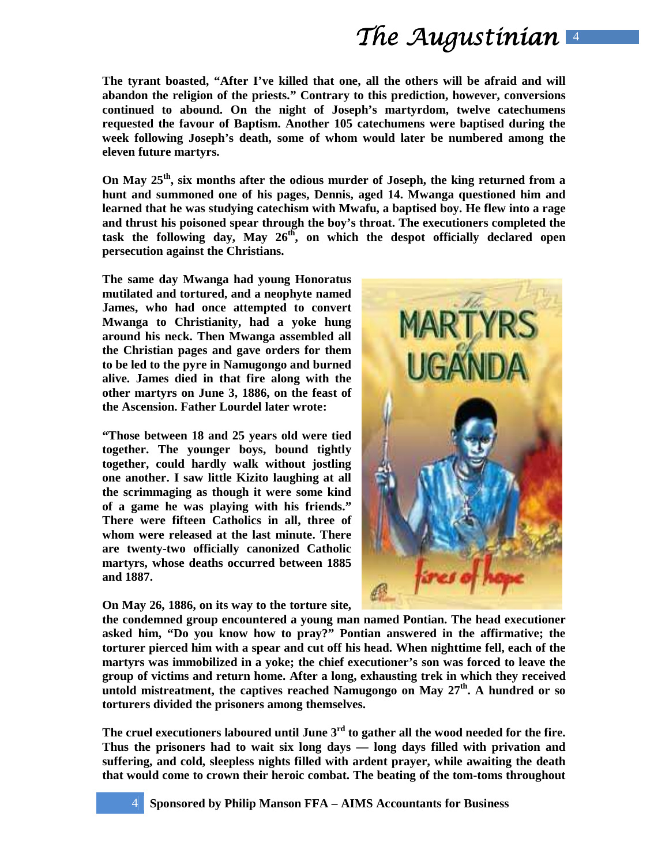**The tyrant boasted, "After I've killed that one, all the others will be afraid and will abandon the religion of the priests." Contrary to this prediction, however, conversions continued to abound. On the night of Joseph's martyrdom, twelve catechumens requested the favour of Baptism. Another 105 catechumens were baptised during the week following Joseph's death, some of whom would later be numbered among the eleven future martyrs.** 

**On May 25th, six months after the odious murder of Joseph, the king returned from a hunt and summoned one of his pages, Dennis, aged 14. Mwanga questioned him and learned that he was studying catechism with Mwafu, a baptised boy. He flew into a rage and thrust his poisoned spear through the boy's throat. The executioners completed the task the following day, May 26th, on which the despot officially declared open persecution against the Christians.** 

**The same day Mwanga had young Honoratus mutilated and tortured, and a neophyte named James, who had once attempted to convert Mwanga to Christianity, had a yoke hung around his neck. Then Mwanga assembled all the Christian pages and gave orders for them to be led to the pyre in Namugongo and burned alive. James died in that fire along with the other martyrs on June 3, 1886, on the feast of the Ascension. Father Lourdel later wrote:** 

**"Those between 18 and 25 years old were tied together. The younger boys, bound tightly together, could hardly walk without jostling one another. I saw little Kizito laughing at all the scrimmaging as though it were some kind of a game he was playing with his friends." There were fifteen Catholics in all, three of whom were released at the last minute. There are twenty-two officially canonized Catholic martyrs, whose deaths occurred between 1885 and 1887.** 

**On May 26, 1886, on its way to the torture site,** 



**the condemned group encountered a young man named Pontian. The head executioner asked him, "Do you know how to pray?" Pontian answered in the affirmative; the torturer pierced him with a spear and cut off his head. When nighttime fell, each of the martyrs was immobilized in a yoke; the chief executioner's son was forced to leave the group of victims and return home. After a long, exhausting trek in which they received untold mistreatment, the captives reached Namugongo on May 27th. A hundred or so torturers divided the prisoners among themselves.** 

**The cruel executioners laboured until June 3rd to gather all the wood needed for the fire. Thus the prisoners had to wait six long days — long days filled with privation and suffering, and cold, sleepless nights filled with ardent prayer, while awaiting the death that would come to crown their heroic combat. The beating of the tom-toms throughout**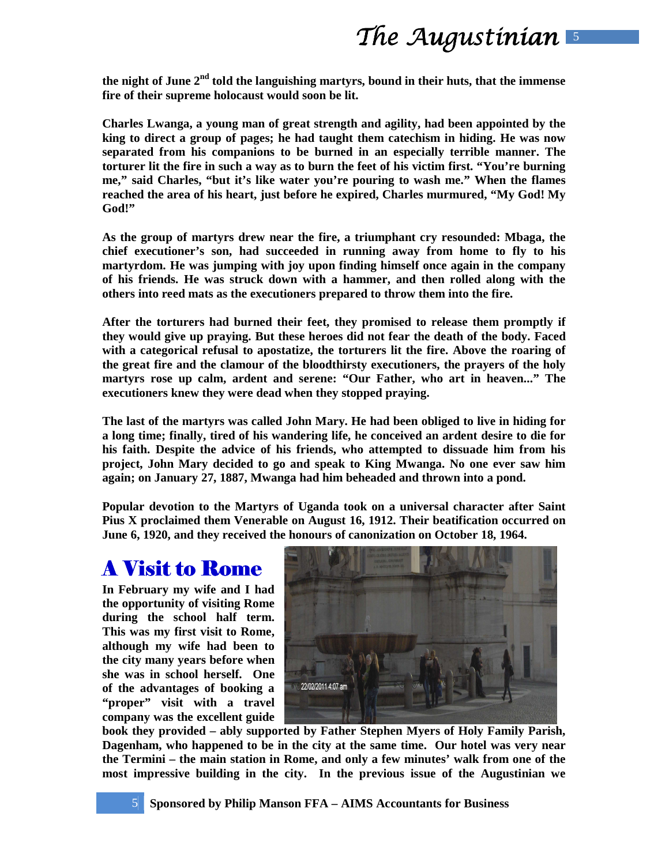**the night of June 2nd told the languishing martyrs, bound in their huts, that the immense fire of their supreme holocaust would soon be lit.** 

**Charles Lwanga, a young man of great strength and agility, had been appointed by the king to direct a group of pages; he had taught them catechism in hiding. He was now separated from his companions to be burned in an especially terrible manner. The torturer lit the fire in such a way as to burn the feet of his victim first. "You're burning me," said Charles, "but it's like water you're pouring to wash me." When the flames reached the area of his heart, just before he expired, Charles murmured, "My God! My God!"** 

**As the group of martyrs drew near the fire, a triumphant cry resounded: Mbaga, the chief executioner's son, had succeeded in running away from home to fly to his martyrdom. He was jumping with joy upon finding himself once again in the company of his friends. He was struck down with a hammer, and then rolled along with the others into reed mats as the executioners prepared to throw them into the fire.** 

**After the torturers had burned their feet, they promised to release them promptly if they would give up praying. But these heroes did not fear the death of the body. Faced with a categorical refusal to apostatize, the torturers lit the fire. Above the roaring of the great fire and the clamour of the bloodthirsty executioners, the prayers of the holy martyrs rose up calm, ardent and serene: "Our Father, who art in heaven..." The executioners knew they were dead when they stopped praying.** 

**The last of the martyrs was called John Mary. He had been obliged to live in hiding for a long time; finally, tired of his wandering life, he conceived an ardent desire to die for his faith. Despite the advice of his friends, who attempted to dissuade him from his project, John Mary decided to go and speak to King Mwanga. No one ever saw him again; on January 27, 1887, Mwanga had him beheaded and thrown into a pond.** 

**Popular devotion to the Martyrs of Uganda took on a universal character after Saint Pius X proclaimed them Venerable on August 16, 1912. Their beatification occurred on June 6, 1920, and they received the honours of canonization on October 18, 1964.** 

### **A Visit to Rome**

**In February my wife and I had the opportunity of visiting Rome during the school half term. This was my first visit to Rome, although my wife had been to the city many years before when she was in school herself. One of the advantages of booking a "proper" visit with a travel company was the excellent guide** 



**book they provided – ably supported by Father Stephen Myers of Holy Family Parish, Dagenham, who happened to be in the city at the same time. Our hotel was very near the Termini – the main station in Rome, and only a few minutes' walk from one of the most impressive building in the city. In the previous issue of the Augustinian we**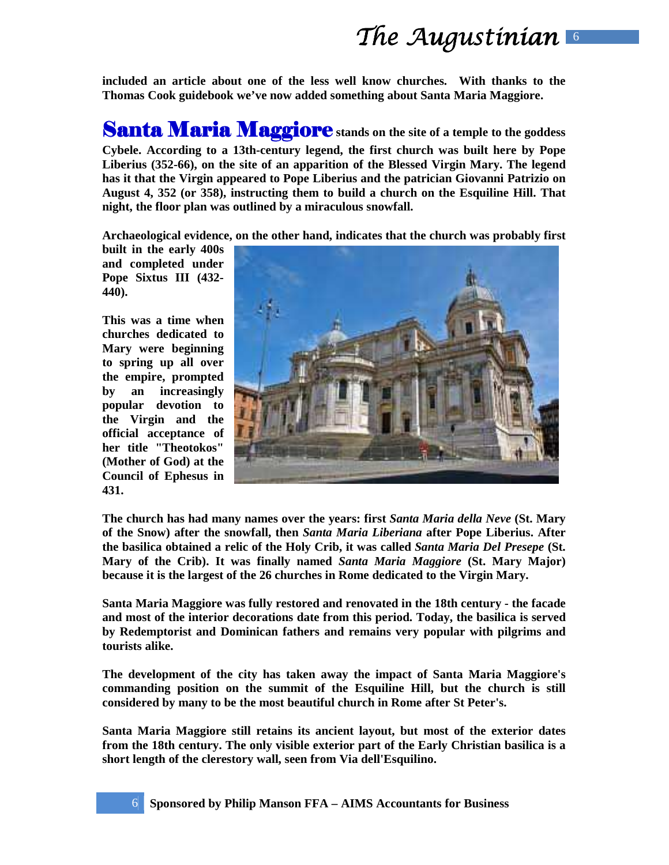**included an article about one of the less well know churches. With thanks to the Thomas Cook guidebook we've now added something about Santa Maria Maggiore.** 

**Santa Maria Maggiore** stands on the site of a temple to the goddess **Cybele. According to a 13th-century legend, the first church was built here by Pope Liberius (352-66), on the site of an apparition of the Blessed Virgin Mary. The legend has it that the Virgin appeared to Pope Liberius and the patrician Giovanni Patrizio on August 4, 352 (or 358), instructing them to build a church on the Esquiline Hill. That night, the floor plan was outlined by a miraculous snowfall.** 

**Archaeological evidence, on the other hand, indicates that the church was probably first** 

**built in the early 400s and completed under Pope Sixtus III (432- 440).** 

**This was a time when churches dedicated to Mary were beginning to spring up all over the empire, prompted by an increasingly popular devotion to the Virgin and the official acceptance of her title "Theotokos" (Mother of God) at the Council of Ephesus in 431.** 



**The church has had many names over the years: first** *Santa Maria della Neve* **(St. Mary of the Snow) after the snowfall, then** *Santa Maria Liberiana* **after Pope Liberius. After the basilica obtained a relic of the Holy Crib, it was called** *Santa Maria Del Presepe* **(St. Mary of the Crib). It was finally named** *Santa Maria Maggiore* **(St. Mary Major) because it is the largest of the 26 churches in Rome dedicated to the Virgin Mary.** 

**Santa Maria Maggiore was fully restored and renovated in the 18th century - the facade and most of the interior decorations date from this period. Today, the basilica is served by Redemptorist and Dominican fathers and remains very popular with pilgrims and tourists alike.** 

**The development of the city has taken away the impact of Santa Maria Maggiore's commanding position on the summit of the Esquiline Hill, but the church is still considered by many to be the most beautiful church in Rome after St Peter's.** 

**Santa Maria Maggiore still retains its ancient layout, but most of the exterior dates from the 18th century. The only visible exterior part of the Early Christian basilica is a short length of the clerestory wall, seen from Via dell'Esquilino.**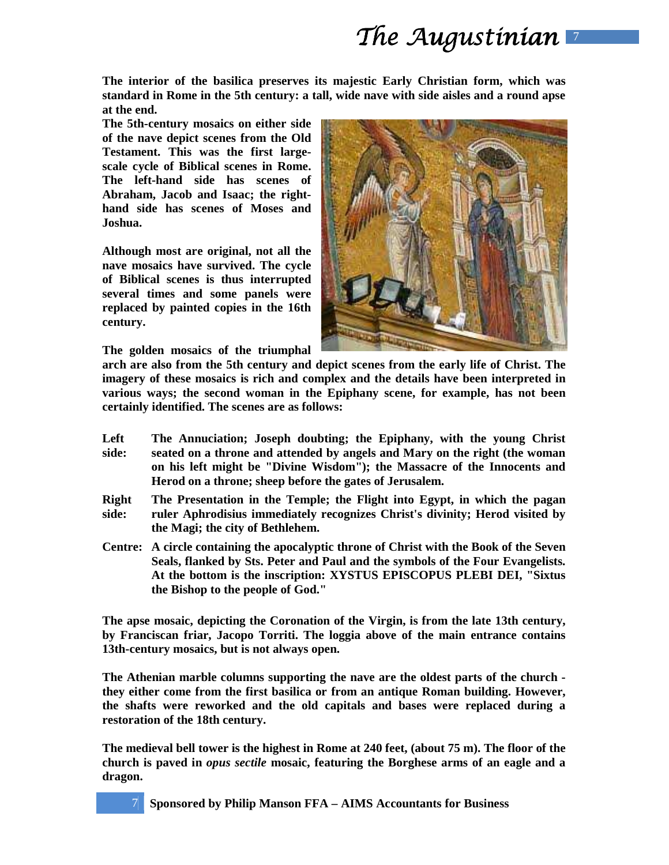**The interior of the basilica preserves its majestic Early Christian form, which was standard in Rome in the 5th century: a tall, wide nave with side aisles and a round apse at the end.** 

**The 5th-century mosaics on either side of the nave depict scenes from the Old Testament. This was the first largescale cycle of Biblical scenes in Rome. The left-hand side has scenes of Abraham, Jacob and Isaac; the righthand side has scenes of Moses and Joshua.** 

**Although most are original, not all the nave mosaics have survived. The cycle of Biblical scenes is thus interrupted several times and some panels were replaced by painted copies in the 16th century.** 

**The golden mosaics of the triumphal** 



**arch are also from the 5th century and depict scenes from the early life of Christ. The imagery of these mosaics is rich and complex and the details have been interpreted in various ways; the second woman in the Epiphany scene, for example, has not been certainly identified. The scenes are as follows:** 

- **Left side: The Annuciation; Joseph doubting; the Epiphany, with the young Christ seated on a throne and attended by angels and Mary on the right (the woman on his left might be "Divine Wisdom"); the Massacre of the Innocents and Herod on a throne; sheep before the gates of Jerusalem.**
- **Right side: The Presentation in the Temple; the Flight into Egypt, in which the pagan ruler Aphrodisius immediately recognizes Christ's divinity; Herod visited by the Magi; the city of Bethlehem.**
- **Centre: A circle containing the apocalyptic throne of Christ with the Book of the Seven Seals, flanked by Sts. Peter and Paul and the symbols of the Four Evangelists. At the bottom is the inscription: XYSTUS EPISCOPUS PLEBI DEI, "Sixtus the Bishop to the people of God."**

**The apse mosaic, depicting the Coronation of the Virgin, is from the late 13th century, by Franciscan friar, Jacopo Torriti. The loggia above of the main entrance contains 13th-century mosaics, but is not always open.** 

**The Athenian marble columns supporting the nave are the oldest parts of the church they either come from the first basilica or from an antique Roman building. However, the shafts were reworked and the old capitals and bases were replaced during a restoration of the 18th century.** 

**The medieval bell tower is the highest in Rome at 240 feet, (about 75 m). The floor of the church is paved in** *opus sectile* **mosaic, featuring the Borghese arms of an eagle and a dragon.**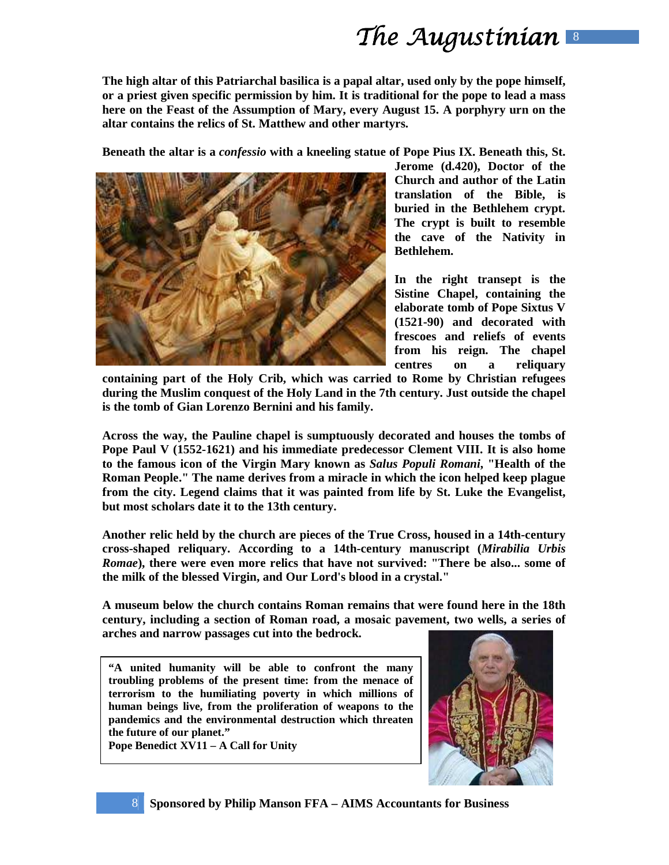**The high altar of this Patriarchal basilica is a papal altar, used only by the pope himself, or a priest given specific permission by him. It is traditional for the pope to lead a mass here on the Feast of the Assumption of Mary, every August 15. A porphyry urn on the altar contains the relics of St. Matthew and other martyrs.** 

**Beneath the altar is a** *confessio* **with a kneeling statue of Pope Pius IX. Beneath this, St.** 



**Jerome (d.420), Doctor of the Church and author of the Latin translation of the Bible, is buried in the Bethlehem crypt. The crypt is built to resemble the cave of the Nativity in Bethlehem.** 

**In the right transept is the Sistine Chapel, containing the elaborate tomb of Pope Sixtus V (1521-90) and decorated with frescoes and reliefs of events from his reign. The chapel centres on a reliquary** 

**containing part of the Holy Crib, which was carried to Rome by Christian refugees during the Muslim conquest of the Holy Land in the 7th century. Just outside the chapel is the tomb of Gian Lorenzo Bernini and his family.**

**Across the way, the Pauline chapel is sumptuously decorated and houses the tombs of Pope Paul V (1552-1621) and his immediate predecessor Clement VIII. It is also home to the famous icon of the Virgin Mary known as** *Salus Populi Romani***, "Health of the Roman People." The name derives from a miracle in which the icon helped keep plague from the city. Legend claims that it was painted from life by St. Luke the Evangelist, but most scholars date it to the 13th century.** 

**Another relic held by the church are pieces of the True Cross, housed in a 14th-century cross-shaped reliquary. According to a 14th-century manuscript (***Mirabilia Urbis Romae***), there were even more relics that have not survived: "There be also... some of the milk of the blessed Virgin, and Our Lord's blood in a crystal."** 

**A museum below the church contains Roman remains that were found here in the 18th century, including a section of Roman road, a mosaic pavement, two wells, a series of arches and narrow passages cut into the bedrock.** 

**"A united humanity will be able to confront the many troubling problems of the present time: from the menace of terrorism to the humiliating poverty in which millions of human beings live, from the proliferation of weapons to the pandemics and the environmental destruction which threaten the future of our planet."** 

**Pope Benedict XV11 – A Call for Unity** 

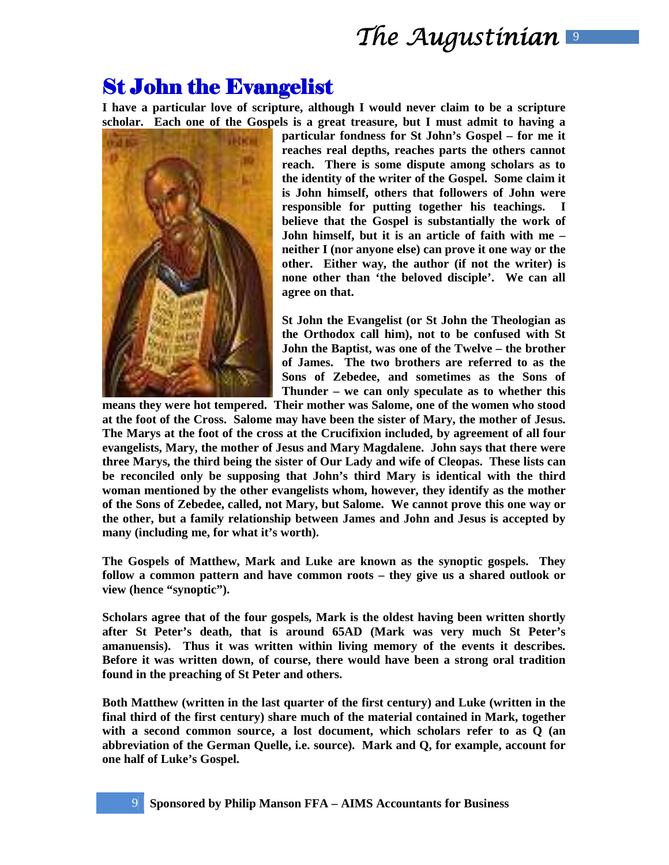### **St John the Evangelist**

**I have a particular love of scripture, although I would never claim to be a scripture scholar. Each one of the Gospels is a great treasure, but I must admit to having a** 



**particular fondness for St John's Gospel – for me it reaches real depths, reaches parts the others cannot reach. There is some dispute among scholars as to the identity of the writer of the Gospel. Some claim it is John himself, others that followers of John were responsible for putting together his teachings. I believe that the Gospel is substantially the work of John himself, but it is an article of faith with me – neither I (nor anyone else) can prove it one way or the other. Either way, the author (if not the writer) is none other than 'the beloved disciple'. We can all agree on that.** 

**St John the Evangelist (or St John the Theologian as the Orthodox call him), not to be confused with St John the Baptist, was one of the Twelve – the brother of James. The two brothers are referred to as the Sons of Zebedee, and sometimes as the Sons of Thunder – we can only speculate as to whether this** 

**means they were hot tempered. Their mother was Salome, one of the women who stood at the foot of the Cross. Salome may have been the sister of Mary, the mother of Jesus. The Marys at the foot of the cross at the Crucifixion included, by agreement of all four evangelists, Mary, the mother of Jesus and Mary Magdalene. John says that there were three Marys, the third being the sister of Our Lady and wife of Cleopas. These lists can be reconciled only be supposing that John's third Mary is identical with the third woman mentioned by the other evangelists whom, however, they identify as the mother of the Sons of Zebedee, called, not Mary, but Salome. We cannot prove this one way or the other, but a family relationship between James and John and Jesus is accepted by many (including me, for what it's worth).** 

**The Gospels of Matthew, Mark and Luke are known as the synoptic gospels. They follow a common pattern and have common roots – they give us a shared outlook or view (hence "synoptic").** 

**Scholars agree that of the four gospels, Mark is the oldest having been written shortly after St Peter's death, that is around 65AD (Mark was very much St Peter's amanuensis). Thus it was written within living memory of the events it describes. Before it was written down, of course, there would have been a strong oral tradition found in the preaching of St Peter and others.** 

**Both Matthew (written in the last quarter of the first century) and Luke (written in the final third of the first century) share much of the material contained in Mark, together with a second common source, a lost document, which scholars refer to as Q (an abbreviation of the German Quelle, i.e. source). Mark and Q, for example, account for one half of Luke's Gospel.**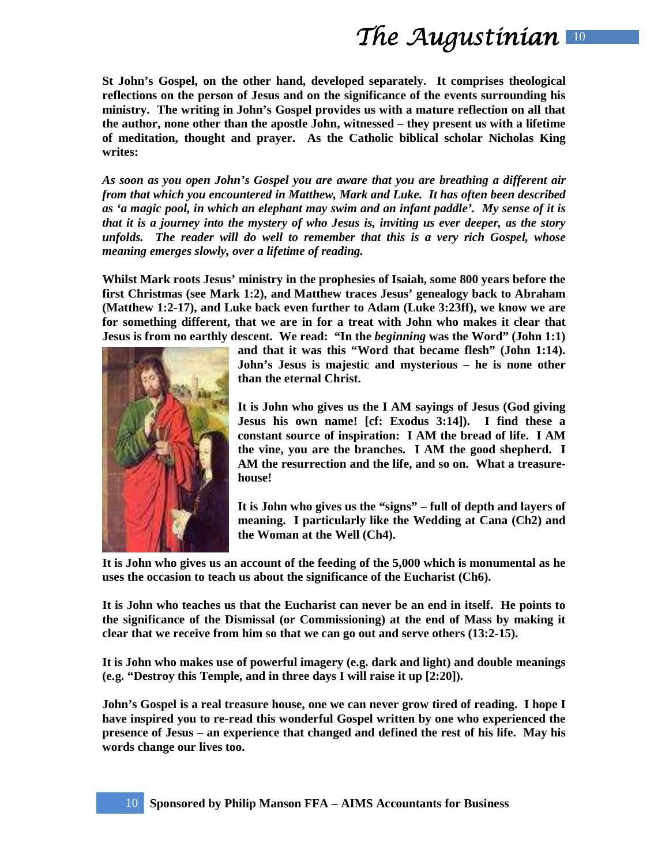**St John's Gospel, on the other hand, developed separately. It comprises theological reflections on the person of Jesus and on the significance of the events surrounding his ministry. The writing in John's Gospel provides us with a mature reflection on all that the author, none other than the apostle John, witnessed – they present us with a lifetime of meditation, thought and prayer. As the Catholic biblical scholar Nicholas King writes:** 

*As soon as you open John's Gospel you are aware that you are breathing a different air from that which you encountered in Matthew, Mark and Luke. It has often been described as 'a magic pool, in which an elephant may swim and an infant paddle'. My sense of it is that it is a journey into the mystery of who Jesus is, inviting us ever deeper, as the story unfolds. The reader will do well to remember that this is a very rich Gospel, whose meaning emerges slowly, over a lifetime of reading.*

**Whilst Mark roots Jesus' ministry in the prophesies of Isaiah, some 800 years before the first Christmas (see Mark 1:2), and Matthew traces Jesus' genealogy back to Abraham (Matthew 1:2-17), and Luke back even further to Adam (Luke 3:23ff), we know we are for something different, that we are in for a treat with John who makes it clear that Jesus is from no earthly descent. We read: "In the** *beginning* **was the Word" (John 1:1)** 



**and that it was this "Word that became flesh" (John 1:14). John's Jesus is majestic and mysterious – he is none other than the eternal Christ.** 

**It is John who gives us the I AM sayings of Jesus (God giving Jesus his own name! [cf: Exodus 3:14]). I find these a constant source of inspiration: I AM the bread of life. I AM the vine, you are the branches. I AM the good shepherd. I AM the resurrection and the life, and so on. What a treasurehouse!** 

**It is John who gives us the "signs" – full of depth and layers of meaning. I particularly like the Wedding at Cana (Ch2) and the Woman at the Well (Ch4).** 

**It is John who gives us an account of the feeding of the 5,000 which is monumental as he uses the occasion to teach us about the significance of the Eucharist (Ch6).** 

**It is John who teaches us that the Eucharist can never be an end in itself. He points to the significance of the Dismissal (or Commissioning) at the end of Mass by making it clear that we receive from him so that we can go out and serve others (13:2-15).** 

**It is John who makes use of powerful imagery (e.g. dark and light) and double meanings (e.g. "Destroy this Temple, and in three days I will raise it up [2:20]).** 

**John's Gospel is a real treasure house, one we can never grow tired of reading. I hope I have inspired you to re-read this wonderful Gospel written by one who experienced the presence of Jesus – an experience that changed and defined the rest of his life. May his words change our lives too.**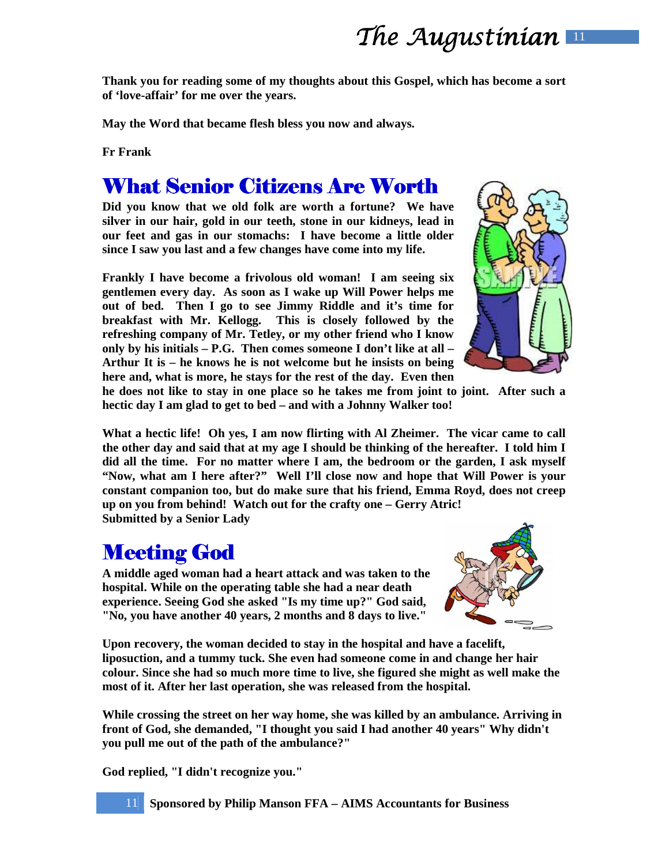**Thank you for reading some of my thoughts about this Gospel, which has become a sort of 'love-affair' for me over the years.** 

**May the Word that became flesh bless you now and always.** 

**Fr Frank** 

### What Senior Citizens Are Worth

**Did you know that we old folk are worth a fortune? We have silver in our hair, gold in our teeth, stone in our kidneys, lead in our feet and gas in our stomachs: I have become a little older since I saw you last and a few changes have come into my life.** 

**Frankly I have become a frivolous old woman! I am seeing six gentlemen every day. As soon as I wake up Will Power helps me out of bed. Then I go to see Jimmy Riddle and it's time for breakfast with Mr. Kellogg. This is closely followed by the refreshing company of Mr. Tetley, or my other friend who I know only by his initials – P.G. Then comes someone I don't like at all – Arthur It is – he knows he is not welcome but he insists on being here and, what is more, he stays for the rest of the day. Even then** 



**he does not like to stay in one place so he takes me from joint to joint. After such a hectic day I am glad to get to bed – and with a Johnny Walker too!** 

**What a hectic life! Oh yes, I am now flirting with Al Zheimer. The vicar came to call the other day and said that at my age I should be thinking of the hereafter. I told him I did all the time. For no matter where I am, the bedroom or the garden, I ask myself "Now, what am I here after?" Well I'll close now and hope that Will Power is your constant companion too, but do make sure that his friend, Emma Royd, does not creep up on you from behind! Watch out for the crafty one – Gerry Atric! Submitted by a Senior Lady** 

### **Meeting God**

**A middle aged woman had a heart attack and was taken to the hospital. While on the operating table she had a near death experience. Seeing God she asked "Is my time up?" God said, "No, you have another 40 years, 2 months and 8 days to live."** 



**Upon recovery, the woman decided to stay in the hospital and have a facelift, liposuction, and a tummy tuck. She even had someone come in and change her hair colour. Since she had so much more time to live, she figured she might as well make the most of it. After her last operation, she was released from the hospital.** 

**While crossing the street on her way home, she was killed by an ambulance. Arriving in front of God, she demanded, "I thought you said I had another 40 years" Why didn't you pull me out of the path of the ambulance?"** 

**God replied, "I didn't recognize you."**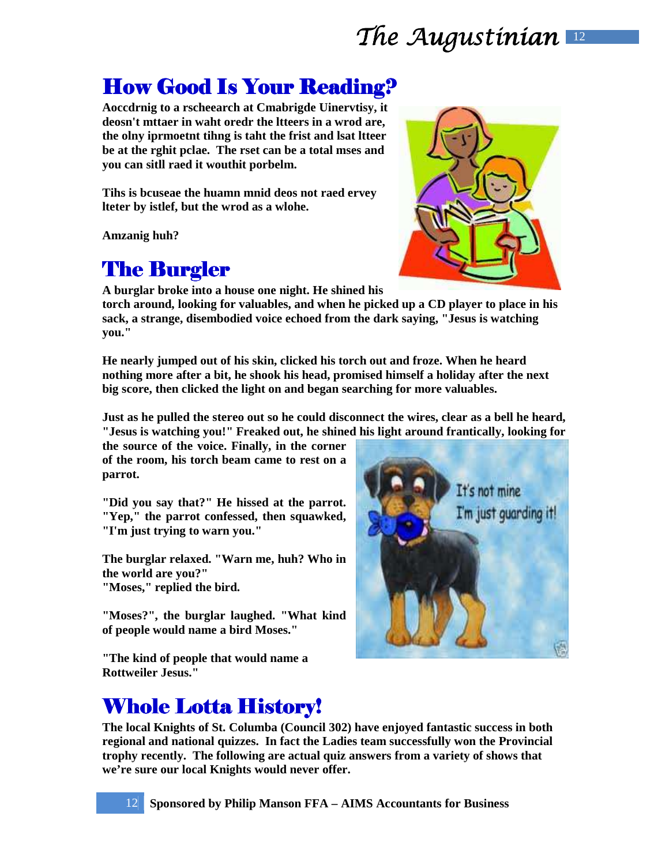# The Augustinian  $\mathbb{R}$

## How Good Is Your Reading?

**Aoccdrnig to a rscheearch at Cmabrigde Uinervtisy, it deosn't mttaer in waht oredr the ltteers in a wrod are, the olny iprmoetnt tihng is taht the frist and lsat ltteer be at the rghit pclae. The rset can be a total mses and you can sitll raed it wouthit porbelm.** 

**Tihs is bcuseae the huamn mnid deos not raed ervey lteter by istlef, but the wrod as a wlohe.** 

**Amzanig huh?** 

## **The Burgler**

**A burglar broke into a house one night. He shined his** 

**torch around, looking for valuables, and when he picked up a CD player to place in his sack, a strange, disembodied voice echoed from the dark saying, "Jesus is watching you."** 

**He nearly jumped out of his skin, clicked his torch out and froze. When he heard nothing more after a bit, he shook his head, promised himself a holiday after the next big score, then clicked the light on and began searching for more valuables.** 

**Just as he pulled the stereo out so he could disconnect the wires, clear as a bell he heard, "Jesus is watching you!" Freaked out, he shined his light around frantically, looking for** 

**the source of the voice. Finally, in the corner of the room, his torch beam came to rest on a parrot.** 

**"Did you say that?" He hissed at the parrot. "Yep," the parrot confessed, then squawked, "I'm just trying to warn you."** 

**The burglar relaxed. "Warn me, huh? Who in the world are you?" "Moses," replied the bird.** 

**"Moses?", the burglar laughed. "What kind of people would name a bird Moses."** 

**"The kind of people that would name a Rottweiler Jesus."** 



### Whole Lotta History!

**The local Knights of St. Columba (Council 302) have enjoyed fantastic success in both regional and national quizzes. In fact the Ladies team successfully won the Provincial trophy recently. The following are actual quiz answers from a variety of shows that we're sure our local Knights would never offer.** 



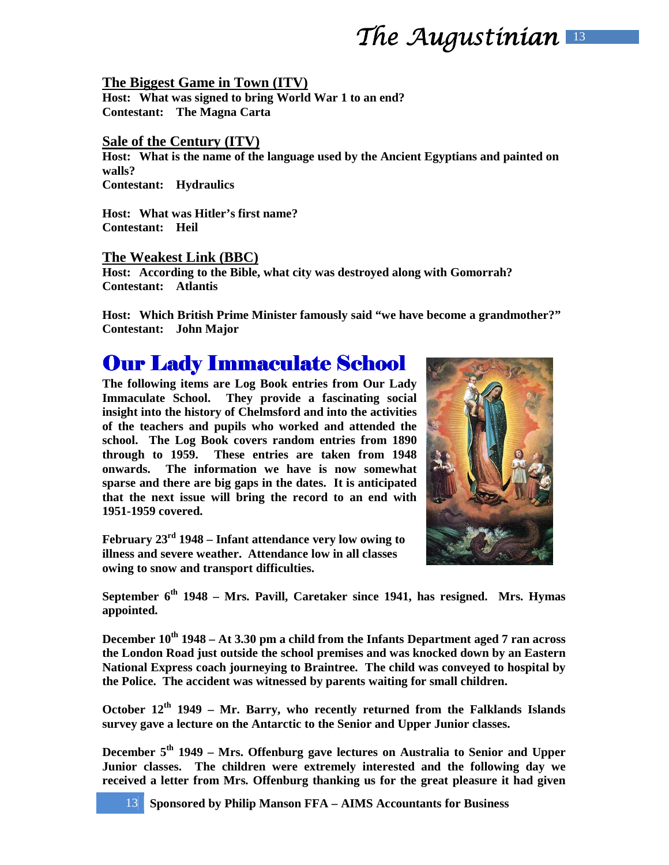## The Augustinian  $\blacksquare$

#### **The Biggest Game in Town (ITV)**

**Host: What was signed to bring World War 1 to an end? Contestant: The Magna Carta** 

#### **Sale of the Century (ITV)**

**Host: What is the name of the language used by the Ancient Egyptians and painted on walls? Contestant: Hydraulics** 

**Host: What was Hitler's first name? Contestant: Heil** 

#### **The Weakest Link (BBC)**

**Host: According to the Bible, what city was destroyed along with Gomorrah? Contestant: Atlantis** 

**Host: Which British Prime Minister famously said "we have become a grandmother?" Contestant: John Major** 

### **Our Lady Immaculate School**

**The following items are Log Book entries from Our Lady Immaculate School. They provide a fascinating social insight into the history of Chelmsford and into the activities of the teachers and pupils who worked and attended the school. The Log Book covers random entries from 1890 through to 1959. These entries are taken from 1948 onwards. The information we have is now somewhat sparse and there are big gaps in the dates. It is anticipated that the next issue will bring the record to an end with 1951-1959 covered.** 

**February 23rd 1948 – Infant attendance very low owing to illness and severe weather. Attendance low in all classes owing to snow and transport difficulties.** 



**September 6th 1948 – Mrs. Pavill, Caretaker since 1941, has resigned. Mrs. Hymas appointed.** 

**December 10th 1948 – At 3.30 pm a child from the Infants Department aged 7 ran across the London Road just outside the school premises and was knocked down by an Eastern National Express coach journeying to Braintree. The child was conveyed to hospital by the Police. The accident was witnessed by parents waiting for small children.** 

**October 12th 1949 – Mr. Barry, who recently returned from the Falklands Islands survey gave a lecture on the Antarctic to the Senior and Upper Junior classes.** 

**December 5th 1949 – Mrs. Offenburg gave lectures on Australia to Senior and Upper Junior classes. The children were extremely interested and the following day we received a letter from Mrs. Offenburg thanking us for the great pleasure it had given** 

13 **Sponsored by Philip Manson FFA – AIMS Accountants for Business**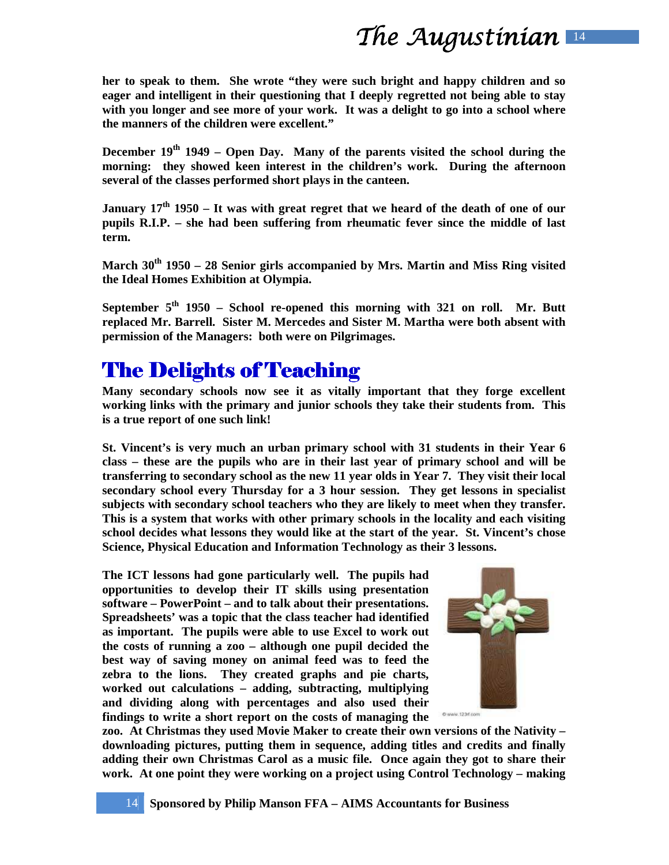**her to speak to them. She wrote "they were such bright and happy children and so eager and intelligent in their questioning that I deeply regretted not being able to stay with you longer and see more of your work. It was a delight to go into a school where the manners of the children were excellent."** 

**December 19th 1949 – Open Day. Many of the parents visited the school during the morning: they showed keen interest in the children's work. During the afternoon several of the classes performed short plays in the canteen.** 

**January 17th 1950 – It was with great regret that we heard of the death of one of our pupils R.I.P. – she had been suffering from rheumatic fever since the middle of last term.** 

**March 30th 1950 – 28 Senior girls accompanied by Mrs. Martin and Miss Ring visited the Ideal Homes Exhibition at Olympia.** 

**September 5th 1950 – School re-opened this morning with 321 on roll. Mr. Butt replaced Mr. Barrell. Sister M. Mercedes and Sister M. Martha were both absent with permission of the Managers: both were on Pilgrimages.** 

### **The Delights of Teaching**

**Many secondary schools now see it as vitally important that they forge excellent working links with the primary and junior schools they take their students from. This is a true report of one such link!** 

**St. Vincent's is very much an urban primary school with 31 students in their Year 6 class – these are the pupils who are in their last year of primary school and will be transferring to secondary school as the new 11 year olds in Year 7. They visit their local secondary school every Thursday for a 3 hour session. They get lessons in specialist subjects with secondary school teachers who they are likely to meet when they transfer. This is a system that works with other primary schools in the locality and each visiting school decides what lessons they would like at the start of the year. St. Vincent's chose Science, Physical Education and Information Technology as their 3 lessons.** 

**The ICT lessons had gone particularly well. The pupils had opportunities to develop their IT skills using presentation software – PowerPoint – and to talk about their presentations. Spreadsheets' was a topic that the class teacher had identified as important. The pupils were able to use Excel to work out the costs of running a zoo – although one pupil decided the best way of saving money on animal feed was to feed the zebra to the lions. They created graphs and pie charts, worked out calculations – adding, subtracting, multiplying and dividing along with percentages and also used their findings to write a short report on the costs of managing the** 



**zoo. At Christmas they used Movie Maker to create their own versions of the Nativity – downloading pictures, putting them in sequence, adding titles and credits and finally adding their own Christmas Carol as a music file. Once again they got to share their work. At one point they were working on a project using Control Technology – making**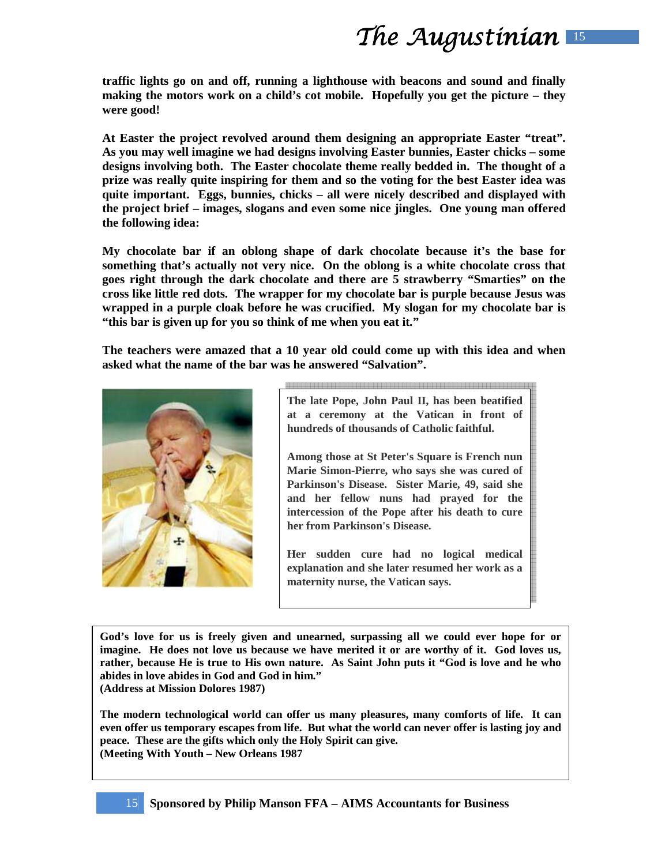**traffic lights go on and off, running a lighthouse with beacons and sound and finally making the motors work on a child's cot mobile. Hopefully you get the picture – they were good!** 

**At Easter the project revolved around them designing an appropriate Easter "treat". As you may well imagine we had designs involving Easter bunnies, Easter chicks – some designs involving both. The Easter chocolate theme really bedded in. The thought of a prize was really quite inspiring for them and so the voting for the best Easter idea was quite important. Eggs, bunnies, chicks – all were nicely described and displayed with the project brief – images, slogans and even some nice jingles. One young man offered the following idea:** 

**My chocolate bar if an oblong shape of dark chocolate because it's the base for something that's actually not very nice. On the oblong is a white chocolate cross that goes right through the dark chocolate and there are 5 strawberry "Smarties" on the cross like little red dots. The wrapper for my chocolate bar is purple because Jesus was wrapped in a purple cloak before he was crucified. My slogan for my chocolate bar is "this bar is given up for you so think of me when you eat it."** 

**The teachers were amazed that a 10 year old could come up with this idea and when asked what the name of the bar was he answered "Salvation".** 



**The late Pope, John Paul II, has been beatified at a ceremony at the Vatican in front of hundreds of thousands of Catholic faithful.** 

**Among those at St Peter's Square is French nun Marie Simon-Pierre, who says she was cured of Parkinson's Disease. Sister Marie, 49, said she and her fellow nuns had prayed for the intercession of the Pope after his death to cure her from Parkinson's Disease.** 

**Her sudden cure had no logical medical explanation and she later resumed her work as a maternity nurse, the Vatican says.** 

**God's love for us is freely given and unearned, surpassing all we could ever hope for or imagine. He does not love us because we have merited it or are worthy of it. God loves us, rather, because He is true to His own nature. As Saint John puts it "God is love and he who abides in love abides in God and God in him." (Address at Mission Dolores 1987)** 

**The modern technological world can offer us many pleasures, many comforts of life. It can even offer us temporary escapes from life. But what the world can never offer is lasting joy and peace. These are the gifts which only the Holy Spirit can give. (Meeting With Youth – New Orleans 1987**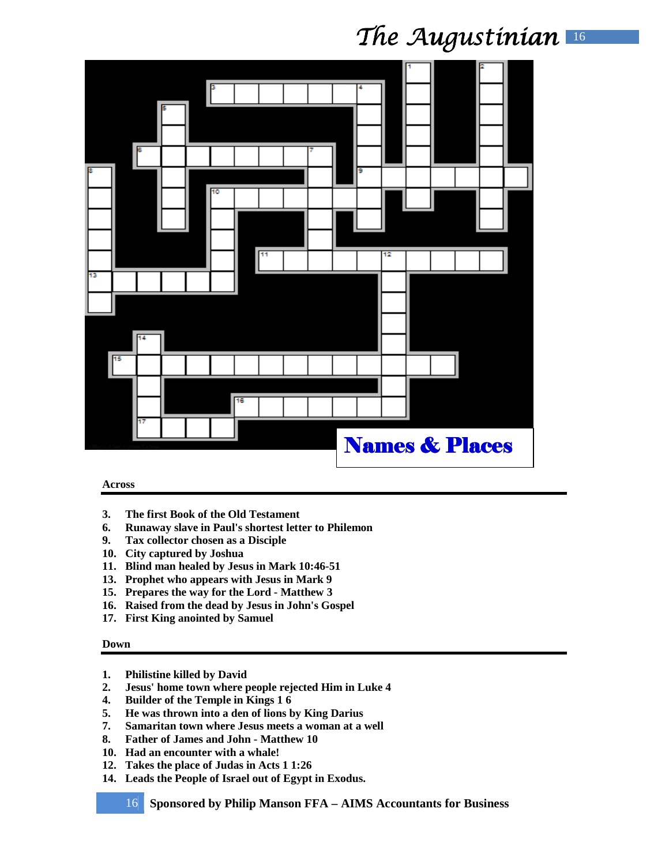|    |    |   | в  |    |    |                           |  |   |    |  |  |  |  |  |
|----|----|---|----|----|----|---------------------------|--|---|----|--|--|--|--|--|
|    |    | Б |    |    |    |                           |  |   |    |  |  |  |  |  |
|    |    |   |    |    |    |                           |  |   |    |  |  |  |  |  |
|    | Б  |   |    |    |    |                           |  |   |    |  |  |  |  |  |
|    |    |   | 10 |    |    |                           |  | 9 |    |  |  |  |  |  |
|    |    |   |    |    |    |                           |  |   |    |  |  |  |  |  |
|    |    |   |    |    |    |                           |  |   |    |  |  |  |  |  |
|    |    |   |    |    | 11 |                           |  |   | 12 |  |  |  |  |  |
| 13 |    |   |    |    |    |                           |  |   |    |  |  |  |  |  |
|    |    |   |    |    |    |                           |  |   |    |  |  |  |  |  |
|    |    |   |    |    |    |                           |  |   |    |  |  |  |  |  |
|    | 14 |   |    |    |    |                           |  |   |    |  |  |  |  |  |
|    | 15 |   |    |    |    |                           |  |   |    |  |  |  |  |  |
|    |    |   |    |    |    |                           |  |   |    |  |  |  |  |  |
|    |    |   |    | 16 |    |                           |  |   |    |  |  |  |  |  |
|    | 17 |   |    |    |    |                           |  |   |    |  |  |  |  |  |
|    |    |   |    |    |    | <b>Names &amp; Places</b> |  |   |    |  |  |  |  |  |
|    |    |   |    |    |    |                           |  |   |    |  |  |  |  |  |

#### **Across**

- **3. The first Book of the Old Testament**
- **6. Runaway slave in Paul's shortest letter to Philemon**
- **9. Tax collector chosen as a Disciple**
- **10. City captured by Joshua**
- **11. Blind man healed by Jesus in Mark 10:46-51**
- **13. Prophet who appears with Jesus in Mark 9**
- **15. Prepares the way for the Lord Matthew 3**
- **16. Raised from the dead by Jesus in John's Gospel**
- **17. First King anointed by Samuel**

#### **Down**

- **1. Philistine killed by David**
- **2. Jesus' home town where people rejected Him in Luke 4**
- **4. Builder of the Temple in Kings 1 6**
- **5. He was thrown into a den of lions by King Darius**
- **7. Samaritan town where Jesus meets a woman at a well**
- **8. Father of James and John Matthew 10**
- **10. Had an encounter with a whale!**
- **12. Takes the place of Judas in Acts 1 1:26**
- **14. Leads the People of Israel out of Egypt in Exodus.** 
	- 16 **Sponsored by Philip Manson FFA AIMS Accountants for Business**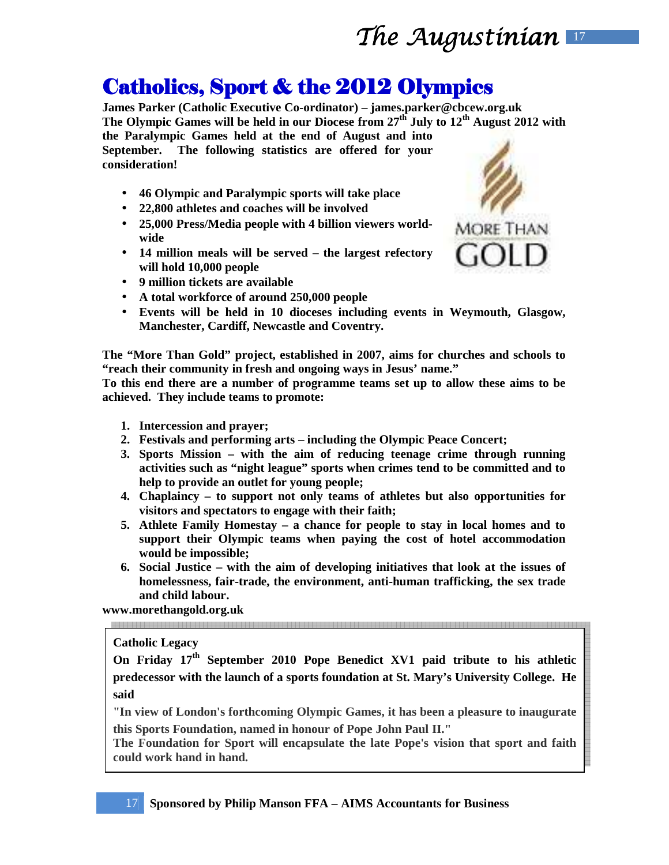# The Augustinian  $\blacksquare$

### Catholics, Sport & the 2012 Olympics

**James Parker (Catholic Executive Co-ordinator) – james.parker@cbcew.org.uk The Olympic Games will be held in our Diocese from 27th July to 12th August 2012 with the Paralympic Games held at the end of August and into September. The following statistics are offered for your consideration!** 

- **46 Olympic and Paralympic sports will take place**
- **22,800 athletes and coaches will be involved**
- **25,000 Press/Media people with 4 billion viewers worldwide**
- **14 million meals will be served the largest refectory will hold 10,000 people**
- **9 million tickets are available**
- **A total workforce of around 250,000 people**
- **Events will be held in 10 dioceses including events in Weymouth, Glasgow, Manchester, Cardiff, Newcastle and Coventry.**

**The "More Than Gold" project, established in 2007, aims for churches and schools to "reach their community in fresh and ongoing ways in Jesus' name."** 

**To this end there are a number of programme teams set up to allow these aims to be achieved. They include teams to promote:** 

- **1. Intercession and prayer;**
- **2. Festivals and performing arts including the Olympic Peace Concert;**
- **3. Sports Mission with the aim of reducing teenage crime through running activities such as "night league" sports when crimes tend to be committed and to help to provide an outlet for young people;**
- **4. Chaplaincy to support not only teams of athletes but also opportunities for visitors and spectators to engage with their faith;**
- **5. Athlete Family Homestay a chance for people to stay in local homes and to support their Olympic teams when paying the cost of hotel accommodation would be impossible;**
- **6. Social Justice with the aim of developing initiatives that look at the issues of homelessness, fair-trade, the environment, anti-human trafficking, the sex trade and child labour.**

**www.morethangold.org.uk** 

#### **Catholic Legacy**

**On Friday 17th September 2010 Pope Benedict XV1 paid tribute to his athletic predecessor with the launch of a sports foundation at St. Mary's University College. He said** 

**"In view of London's forthcoming Olympic Games, it has been a pleasure to inaugurate this Sports Foundation, named in honour of Pope John Paul II."** 

**The Foundation for Sport will encapsulate the late Pope's vision that sport and faith could work hand in hand.**

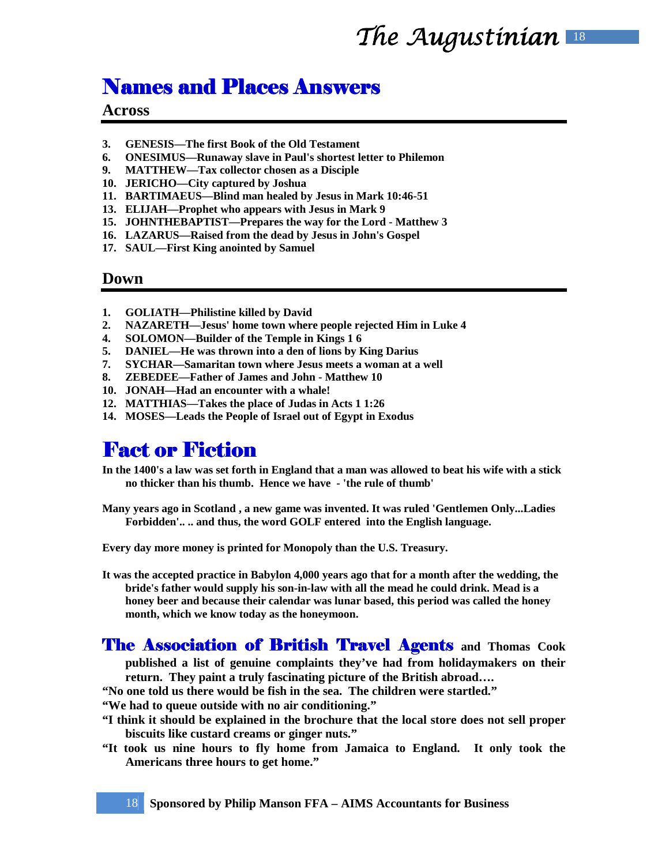## The Augustinian  $\mathbb{R}$

### **Names and Places Answers**

#### **Across**

- **3. GENESIS—The first Book of the Old Testament**
- **6. ONESIMUS—Runaway slave in Paul's shortest letter to Philemon**
- **9. MATTHEW—Tax collector chosen as a Disciple**
- **10. JERICHO—City captured by Joshua**
- **11. BARTIMAEUS—Blind man healed by Jesus in Mark 10:46-51**
- **13. ELIJAH—Prophet who appears with Jesus in Mark 9**
- **15. JOHNTHEBAPTIST—Prepares the way for the Lord Matthew 3**
- **16. LAZARUS—Raised from the dead by Jesus in John's Gospel**
- **17. SAUL—First King anointed by Samuel**

#### **Down**

- **1. GOLIATH—Philistine killed by David**
- **2. NAZARETH—Jesus' home town where people rejected Him in Luke 4**
- **4. SOLOMON—Builder of the Temple in Kings 1 6**
- **5. DANIEL—He was thrown into a den of lions by King Darius**
- **7. SYCHAR—Samaritan town where Jesus meets a woman at a well**
- **8. ZEBEDEE—Father of James and John Matthew 10**
- **10. JONAH—Had an encounter with a whale!**
- **12. MATTHIAS—Takes the place of Judas in Acts 1 1:26**
- **14. MOSES—Leads the People of Israel out of Egypt in Exodus**

### Fact or Fiction

**In the 1400's a law was set forth in England that a man was allowed to beat his wife with a stick no thicker than his thumb. Hence we have - 'the rule of thumb'**

**Many years ago in Scotland , a new game was invented. It was ruled 'Gentlemen Only...Ladies Forbidden'.. .. and thus, the word GOLF entered into the English language.** 

**Every day more money is printed for Monopoly than the U.S. Treasury.**

**It was the accepted practice in Babylon 4,000 years ago that for a month after the wedding, the bride's father would supply his son-in-law with all the mead he could drink. Mead is a honey beer and because their calendar was lunar based, this period was called the honey month, which we know today as the honeymoon.** 

#### The Association of British Travel Agents **and Thomas Cook published a list of genuine complaints they've had from holidaymakers on their return. They paint a truly fascinating picture of the British abroad….**

**"No one told us there would be fish in the sea. The children were startled."** 

**"We had to queue outside with no air conditioning."**

- **"I think it should be explained in the brochure that the local store does not sell proper biscuits like custard creams or ginger nuts."**
- **"It took us nine hours to fly home from Jamaica to England. It only took the Americans three hours to get home."**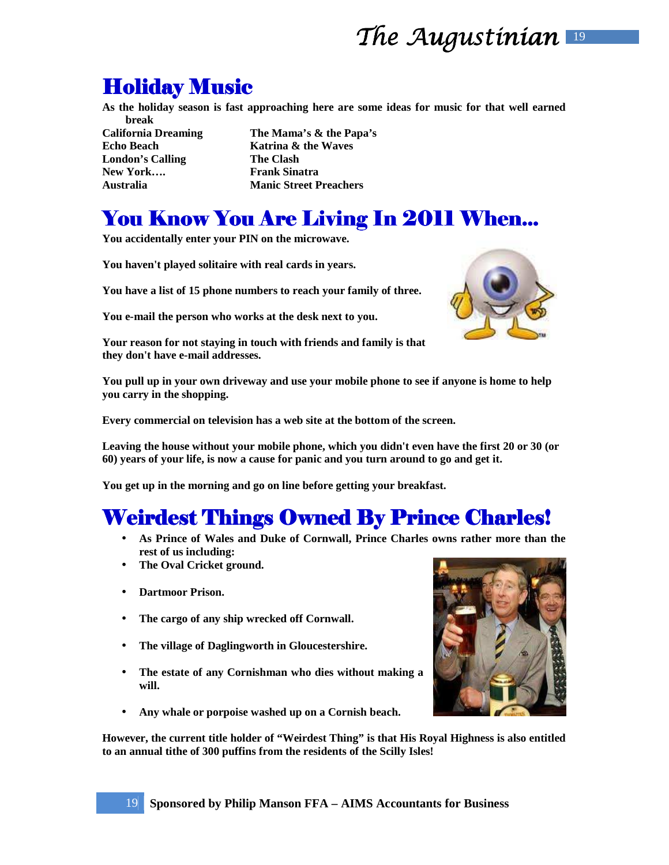## **Holiday Music**

**As the holiday season is fast approaching here are some ideas for music for that well earned break** 

**London's Calling The Clash**  New York.... **Frank Sinatra** 

**California Dreaming The Mama's & the Papa's Echo Beach** Katrina & the Waves **Australia Manic Street Preachers** 

## You Know You Are Living In 2011 When...

**You accidentally enter your PIN on the microwave.** 

**You haven't played solitaire with real cards in years.** 

**You have a list of 15 phone numbers to reach your family of three.** 

**You e-mail the person who works at the desk next to you.** 

**Your reason for not staying in touch with friends and family is that they don't have e-mail addresses.** 

**You pull up in your own driveway and use your mobile phone to see if anyone is home to help you carry in the shopping.** 

**Every commercial on television has a web site at the bottom of the screen.** 

**Leaving the house without your mobile phone, which you didn't even have the first 20 or 30 (or 60) years of your life, is now a cause for panic and you turn around to go and get it.** 

**You get up in the morning and go on line before getting your breakfast.** 

### **Weirdest Things Owned By Prince Charles!**

- **As Prince of Wales and Duke of Cornwall, Prince Charles owns rather more than the rest of us including:**
- **The Oval Cricket ground.**
- **Dartmoor Prison.**
- **The cargo of any ship wrecked off Cornwall.**
- **The village of Daglingworth in Gloucestershire.**
- **The estate of any Cornishman who dies without making a will.**
- **Any whale or porpoise washed up on a Cornish beach.**

**However, the current title holder of "Weirdest Thing" is that His Royal Highness is also entitled to an annual tithe of 300 puffins from the residents of the Scilly Isles!**